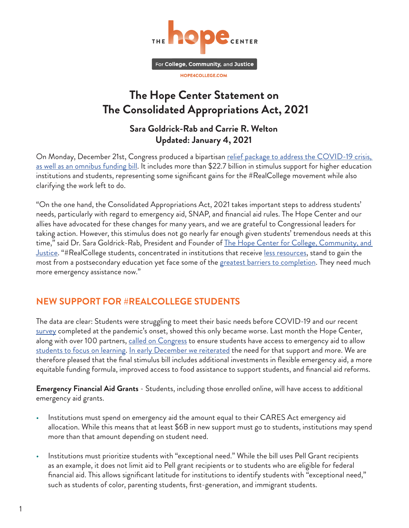

## **The Hope Center Statement on The Consolidated Appropriations Act, 2021**

## **Sara Goldrick-Rab and Carrie R. Welton Updated: January 4, 2021**

On Monday, December 21st, Congress produced a bipartisan relief package to address the COVID-19 crisis, [as well as an omnibus funding bill](https://docs.house.gov/billsthisweek/20201221/BILLS-116HR133SA-RCP-116-68.pdf). It includes more than \$22.7 billion in stimulus support for higher education institutions and students, representing some significant gains for the #RealCollege movement while also clarifying the work left to do.

"On the one hand, the Consolidated Appropriations Act, 2021 takes important steps to address students' needs, particularly with regard to emergency aid, SNAP, and financial aid rules. The Hope Center and our allies have advocated for these changes for many years, and we are grateful to Congressional leaders for taking action. However, this stimulus does not go nearly far enough given students' tremendous needs at this time," said Dr. Sara Goldrick-Rab, President and Founder of The Hope Center for College, Community, and [Justice](https://hope4college.com/). "#RealCollege students, concentrated in institutions that receive [less resources,](https://hope4college.com/resourcing-the-part-time-student-rethinking-the-use-of-ftes-in-higher-education-budgets/) stand to gain the most from a postsecondary education yet face some of the [greatest barriers to completion.](https://hope4college.com/realcollege-2020-five-years-of-evidence-on-basic-needs-insecurity/) They need much more emergency assistance now."

## **NEW SUPPORT FOR #REALCOLLEGE STUDENTS**

The data are clear: Students were struggling to meet their basic needs before COVID-19 and our recent [survey](https://hope4college.com/realcollege-during-the-pandemic/) completed at the pandemic's onset, showed this only became worse. Last month the Hope Center, along with over 100 partners, [called on Congress](https://hope4college.com/the-hope-center-calls-on-congress-to-immediately-invest-in-realcollege-students-with-additional-emergency-aid-funding/) to ensure students have access to emergency aid to allow [students to focus on learning.](https://hope4college.com/scaling-effective-emergency-aid-practices/) [In early December we reiterated](https://hope4college.com/realcollege-statement-on-the-emergency-coronavirus-relief-act-of-2020/) the need for that support and more. We are therefore pleased that the final stimulus bill includes additional investments in flexible emergency aid, a more equitable funding formula, improved access to food assistance to support students, and financial aid reforms.

**Emergency Financial Aid Grants** - Students, including those enrolled online, will have access to additional emergency aid grants.

- Institutions must spend on emergency aid the amount equal to their CARES Act emergency aid allocation. While this means that at least \$6B in new support must go to students, institutions may spend more than that amount depending on student need.
- Institutions must prioritize students with "exceptional need." While the bill uses Pell Grant recipients as an example, it does not limit aid to Pell grant recipients or to students who are eligible for federal financial aid. This allows significant latitude for institutions to identify students with "exceptional need," such as students of color, parenting students, first-generation, and immigrant students.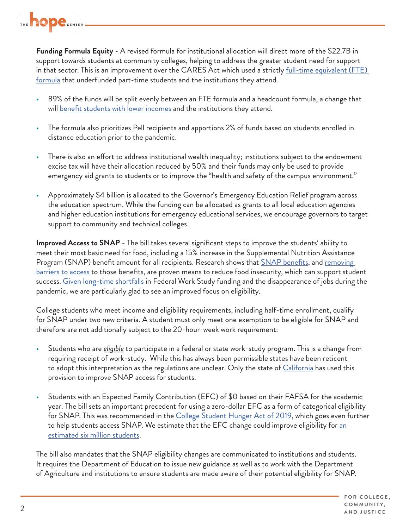

**Funding Formula Equity** - A revised formula for institutional allocation will direct more of the \$22.7B in support towards students at community colleges, helping to address the greater student need for support in that sector. This is an improvement over the CARES Act which used a strictly <u>full-time equivalent (FTE)</u> [formula](https://hope4college.com/resourcing-the-part-time-student-rethinking-the-use-of-ftes-in-higher-education-budgets/) that underfunded part-time students and the institutions they attend.

- 89% of the funds will be split evenly between an FTE formula and a headcount formula, a change that will [benefit students with lower incomes](https://www.americanprogress.org/issues/education-postsecondary/reports/2020/05/11/484838/better-formula-higher-educations-federal-coronavirus-funding/) and the institutions they attend.
- The formula also prioritizes Pell recipients and apportions 2% of funds based on students enrolled in distance education prior to the pandemic.
- There is also an effort to address institutional wealth inequality; institutions subject to the endowment excise tax will have their allocation reduced by 50% and their funds may only be used to provide emergency aid grants to students or to improve the "health and safety of the campus environment."
- Approximately \$4 billion is allocated to the Governor's Emergency Education Relief program across the education spectrum. While the funding can be allocated as grants to all local education agencies and higher education institutions for emergency educational services, we encourage governors to target support to community and technical colleges.

**Improved Access to SNAP** - The bill takes several significant steps to improve the students' ability to meet their most basic need for food, including a 15% increase in the Supplemental Nutrition Assistance Program (SNAP) benefit amount for all recipients. Research shows that **SNAP** benefits, and <u>removing</u> [barriers to access](https://thehill.com/opinion/education/526989-college-kids-are-going-hungry-states-can-help) to those benefits, are proven means to reduce food insecurity, which can support student success. [Given long-time shortfalls](https://www.brookings.edu/research/federal-work-study-past-its-prime-or-ripe-for-renewal/) in Federal Work Study funding and the disappearance of jobs during the pandemic, we are particularly glad to see an improved focus on eligibility.

College students who meet income and eligibility requirements, including half-time enrollment, qualify for SNAP under two new criteria. A student must only meet one exemption to be eligible for SNAP and therefore are not additionally subject to the 20-hour-week work requirement:

- Students who are *eligible* to participate in a federal or state work-study program. This is a change from requiring receipt of work-study. While this has always been permissible states have been reticent to adopt this interpretation as the regulations are unclear. Only the state of [California](https://leginfo.legislature.ca.gov/faces/billTextClient.xhtml?bill_id=201720180AB214) has used this provision to improve SNAP access for students.
- Students with an Expected Family Contribution (EFC) of \$0 based on their FAFSA for the academic year. The bill sets an important precedent for using a zero-dollar EFC as a form of categorical eligibility for SNAP. This was recommended in the [College Student Hunger Act of 2019,](https://www.congress.gov/bill/116th-congress/senate-bill/2143/text) which goes even further to help students access SNAP. We estimate that the EFC change could improve eligibility for an [estimated six million students.](https://ir.library.louisville.edu/cgi/viewcontent.cgi?article=1597&context=jsfa)

The bill also mandates that the SNAP eligibility changes are communicated to institutions and students. It requires the Department of Education to issue new guidance as well as to work with the Department of Agriculture and institutions to ensure students are made aware of their potential eligibility for SNAP.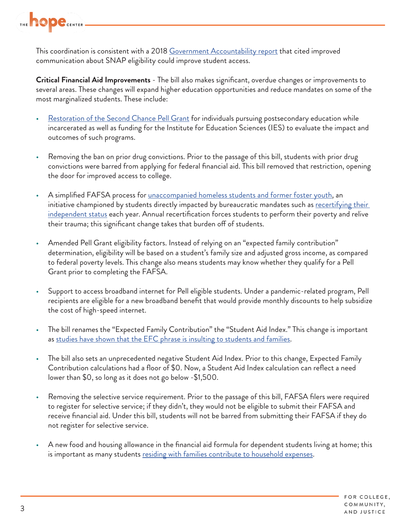

This coordination is consistent with a 2018 [Government Accountability report](https://www.gao.gov/assets/700/696254.pdf) that cited improved communication about SNAP eligibility could improve student access.

**Critical Financial Aid Improvements** - The bill also makes significant, overdue changes or improvements to several areas. These changes will expand higher education opportunities and reduce mandates on some of the most marginalized students. These include:

- [Restoration of the Second Chance Pell Grant](https://edtrust.org/issue/lift-the-ban/) for individuals pursuing postsecondary education while incarcerated as well as funding for the Institute for Education Sciences (IES) to evaluate the impact and outcomes of such programs.
- Removing the ban on prior drug convictions. Prior to the passage of this bill, students with prior drug convictions were barred from applying for federal financial aid. This bill removed that restriction, opening the door for improved access to college.
- A simplified FAFSA process for <u>[unaccompanied homeless students and former foster youth](https://www.schoolhouseconnection.org/fafsa-fixes-for-homeless-and-foster-youth-included-in-final-funding-bill/)</u>, an initiative championed by students directly impacted by bureaucratic mandates such as recertifying their [independent status](https://www.schoolhouseconnection.org/fafsa-fixes-for-homeless-and-foster-youth-included-in-final-funding-bill/) each year. Annual recertification forces students to perform their poverty and relive their trauma; this significant change takes that burden off of students.
- Amended Pell Grant eligibility factors. Instead of relying on an "expected family contribution" determination, eligibility will be based on a student's family size and adjusted gross income, as compared to federal poverty levels. This change also means students may know whether they qualify for a Pell Grant prior to completing the FAFSA.
- Support to access broadband internet for Pell eligible students. Under a pandemic-related program, Pell recipients are eligible for a new broadband benefit that would provide monthly discounts to help subsidize the cost of high-speed internet.
- The bill renames the "Expected Family Contribution" the "Student Aid Index." This change is important as [studies have shown that the EFC phrase is insulting to students and families](https://www.theatlantic.com/education/archive/2016/09/how-financial-aid-betrays-the-modern-family/501818/).
- The bill also sets an unprecedented negative Student Aid Index. Prior to this change, Expected Family Contribution calculations had a floor of \$0. Now, a Student Aid Index calculation can reflect a need lower than \$0, so long as it does not go below -\$1,500.
- Removing the selective service requirement. Prior to the passage of this bill, FAFSA filers were required to register for selective service; if they didn't, they would not be eligible to submit their FAFSA and receive financial aid. Under this bill, students will not be barred from submitting their FAFSA if they do not register for selective service.
- A new food and housing allowance in the financial aid formula for dependent students living at home; this is important as many students [residing with families contribute to household expenses](https://tcf.org/content/report/the-real-price-of-college/).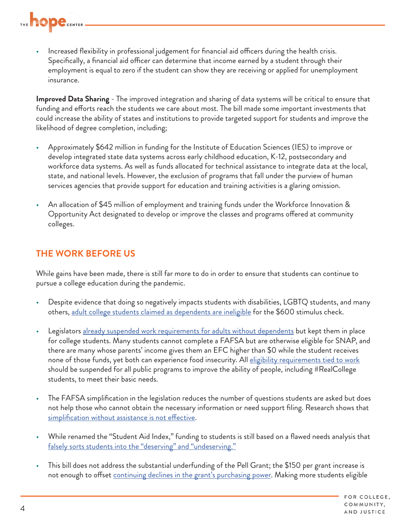

Increased flexibility in professional judgement for financial aid officers during the health crisis. Specifically, a financial aid officer can determine that income earned by a student through their employment is equal to zero if the student can show they are receiving or applied for unemployment insurance.

**Improved Data Sharing** - The improved integration and sharing of data systems will be critical to ensure that funding and efforts reach the students we care about most. The bill made some important investments that could increase the ability of states and institutions to provide targeted support for students and improve the likelihood of degree completion, including;

- Approximately \$642 million in funding for the Institute of Education Sciences (IES) to improve or develop integrated state data systems across early childhood education, K-12, postsecondary and workforce data systems. As well as funds allocated for technical assistance to integrate data at the local, state, and national levels. However, the exclusion of programs that fall under the purview of human services agencies that provide support for education and training activities is a glaring omission.
- An allocation of \$45 million of employment and training funds under the Workforce Innovation & Opportunity Act designated to develop or improve the classes and programs offered at community colleges.

## **THE WORK BEFORE US**

While gains have been made, there is still far more to do in order to ensure that students can continue to pursue a college education during the pandemic.

- Despite evidence that doing so negatively impacts students with disabilities, LGBTQ students, and many others, [adult college students claimed as dependents are ineligible](https://hope4college.com/realcollege-recommendations-to-congress-regarding-the-fourth-covid-19-stimulus-bill/) for the \$600 stimulus check.
- Legislators alr[eady suspended work requirements for adults without dependents](https://www.fns.usda.gov/snap/ffcra-impact-time-limit-abawds) but kept them in place for college students. Many students cannot complete a FAFSA but are otherwise eligible for SNAP, and there are many whose parents' income gives them an EFC higher than \$0 while the student receives none of those funds, yet both can experience food insecurity. All [eligibility requirements tied to work](https://hope4college.com/realcollege-call-to-congress-to-halt-the-snap-student-work-requirement/) should be suspended for all public programs to improve the ability of people, including #RealCollege students, to meet their basic needs.
- The FAFSA simplification in the legislation reduces the number of questions students are asked but does not help those who cannot obtain the necessary information or need support filing. Research shows that [simplification without assistance is not effective](https://www.nber.org/papers/w15361).
- While renamed the "Student Aid Index," funding to students is still based on a flawed needs analysis that [falsely sorts students into the "deserving" and "undeserving."](https://press.uchicago.edu/ucp/books/book/chicago/P/bo24663096.html)
- This bill does not address the substantial underfunding of the Pell Grant; the \$150 per grant increase is not enough to offset [continuing declines in the grant's purchasing power.](https://www.thirdway.org/memo/why-we-should-double-the-pell-grant) Making more students eligible